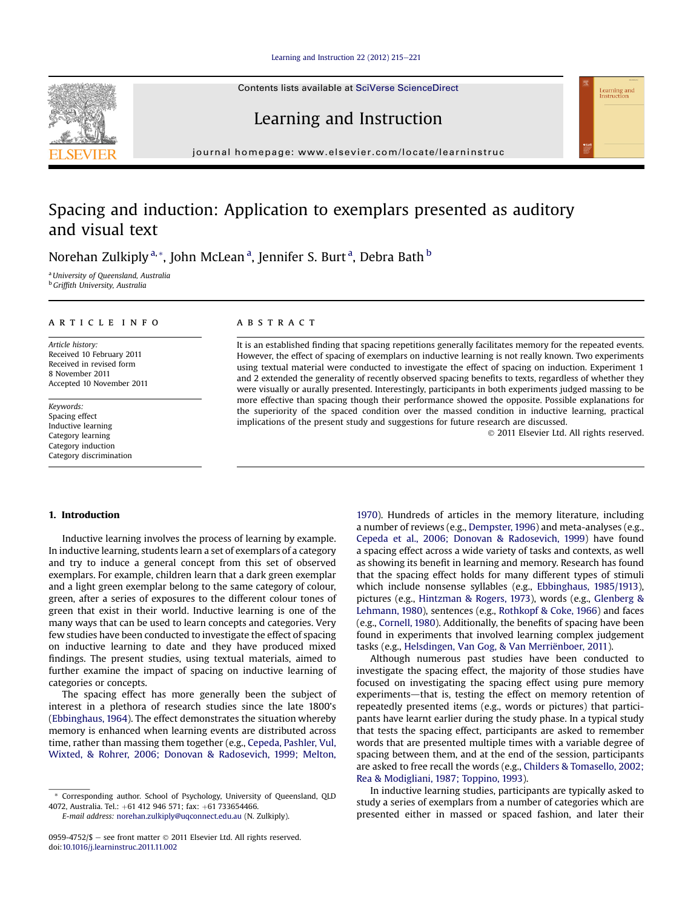Learning and Instruction  $22(2012) 215-221$  $22(2012) 215-221$ 

Contents lists available at SciVerse ScienceDirect

# Learning and Instruction

journal homepage: [www.elsevier.com/locate/learninstruc](http://www.elsevier.com/locate/learninstruc)

## Spacing and induction: Application to exemplars presented as auditory and visual text

Norehan Zulkiply <sup>a,</sup>\*, John McLean <sup>a</sup>, Jennifer S. Burt <sup>a</sup>, Debra Bath <sup>b</sup>

<sup>a</sup> University of Queensland, Australia <sup>b</sup> Griffith University, Australia

#### article info

Article history: Received 10 February 2011 Received in revised form 8 November 2011 Accepted 10 November 2011

Keywords: Spacing effect Inductive learning Category learning Category induction Category discrimination

## ABSTRACT

It is an established finding that spacing repetitions generally facilitates memory for the repeated events. However, the effect of spacing of exemplars on inductive learning is not really known. Two experiments using textual material were conducted to investigate the effect of spacing on induction. Experiment 1 and 2 extended the generality of recently observed spacing benefits to texts, regardless of whether they were visually or aurally presented. Interestingly, participants in both experiments judged massing to be more effective than spacing though their performance showed the opposite. Possible explanations for the superiority of the spaced condition over the massed condition in inductive learning, practical implications of the present study and suggestions for future research are discussed.

2011 Elsevier Ltd. All rights reserved.

Learning and<br>Instruction

## 1. Introduction

Inductive learning involves the process of learning by example. In inductive learning, students learn a set of exemplars of a category and try to induce a general concept from this set of observed exemplars. For example, children learn that a dark green exemplar and a light green exemplar belong to the same category of colour, green, after a series of exposures to the different colour tones of green that exist in their world. Inductive learning is one of the many ways that can be used to learn concepts and categories. Very few studies have been conducted to investigate the effect of spacing on inductive learning to date and they have produced mixed findings. The present studies, using textual materials, aimed to further examine the impact of spacing on inductive learning of categories or concepts.

The spacing effect has more generally been the subject of interest in a plethora of research studies since the late 1800's ([Ebbinghaus, 1964](#page-6-0)). The effect demonstrates the situation whereby memory is enhanced when learning events are distributed across time, rather than massing them together (e.g., [Cepeda, Pashler, Vul,](#page-6-0) [Wixted, & Rohrer, 2006; Donovan & Radosevich, 1999; Melton,](#page-6-0)

[1970\)](#page-6-0). Hundreds of articles in the memory literature, including a number of reviews (e.g., [Dempster, 1996\)](#page-6-0) and meta-analyses (e.g., [Cepeda et al., 2006; Donovan & Radosevich, 1999\)](#page-6-0) have found a spacing effect across a wide variety of tasks and contexts, as well as showing its benefit in learning and memory. Research has found that the spacing effect holds for many different types of stimuli which include nonsense syllables (e.g., [Ebbinghaus, 1985/1913\)](#page-6-0), pictures (e.g., [Hintzman & Rogers, 1973\)](#page-6-0), words (e.g., [Glenberg &](#page-6-0) [Lehmann, 1980\)](#page-6-0), sentences (e.g., [Rothkopf & Coke, 1966\)](#page-6-0) and faces (e.g., [Cornell, 1980](#page-6-0)). Additionally, the benefits of spacing have been found in experiments that involved learning complex judgement tasks (e.g., [Helsdingen, Van Gog, & Van Merriënboer, 2011](#page-6-0)).

Although numerous past studies have been conducted to investigate the spacing effect, the majority of those studies have focused on investigating the spacing effect using pure memory experiments—that is, testing the effect on memory retention of repeatedly presented items (e.g., words or pictures) that participants have learnt earlier during the study phase. In a typical study that tests the spacing effect, participants are asked to remember words that are presented multiple times with a variable degree of spacing between them, and at the end of the session, participants are asked to free recall the words (e.g., [Childers & Tomasello, 2002;](#page-6-0) [Rea & Modigliani, 1987; Toppino, 1993\)](#page-6-0).

In inductive learning studies, participants are typically asked to study a series of exemplars from a number of categories which are presented either in massed or spaced fashion, and later their



<sup>\*</sup> Corresponding author. School of Psychology, University of Queensland, QLD 4072, Australia. Tel.: +61 412 946 571; fax: +61 733654466.

E-mail address: [norehan.zulkiply@uqconnect.edu.au](mailto:norehan.zulkiply@uqconnect.edu.au) (N. Zulkiply).

<sup>0959-4752/\$ -</sup> see front matter  $\odot$  2011 Elsevier Ltd. All rights reserved. doi[:10.1016/j.learninstruc.2011.11.002](http://dx.doi.org/10.1016/j.learninstruc.2011.11.002)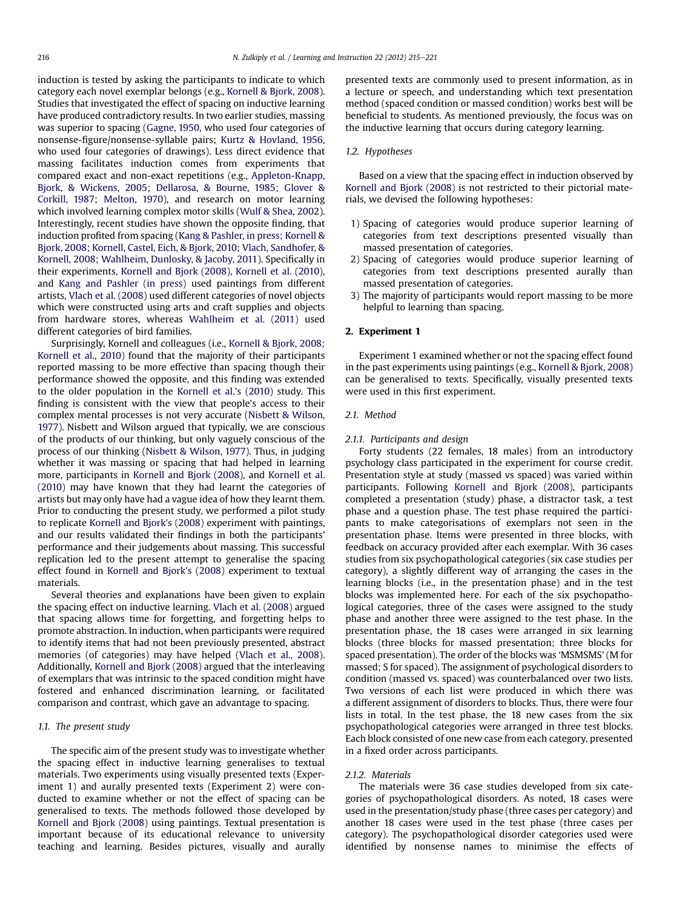induction is tested by asking the participants to indicate to which category each novel exemplar belongs (e.g., [Kornell & Bjork, 2008\)](#page-6-0). Studies that investigated the effect of spacing on inductive learning have produced contradictory results. In two earlier studies, massing was superior to spacing [\(Gagne, 1950](#page-6-0), who used four categories of nonsense-figure/nonsense-syllable pairs; [Kurtz & Hovland, 1956,](#page-6-0) who used four categories of drawings). Less direct evidence that massing facilitates induction comes from experiments that compared exact and non-exact repetitions (e.g., [Appleton-Knapp,](#page-6-0) [Bjork, & Wickens, 2005; Dellarosa, & Bourne, 1985; Glover &](#page-6-0) [Corkill, 1987; Melton, 1970](#page-6-0)), and research on motor learning which involved learning complex motor skills ([Wulf & Shea, 2002\)](#page-6-0). Interestingly, recent studies have shown the opposite finding, that induction profited from spacing [\(Kang & Pashler, in press; Kornell &](#page-6-0) [Bjork, 2008; Kornell, Castel, Eich, & Bjork, 2010; Vlach, Sandhofer, &](#page-6-0) [Kornell, 2008; Wahlheim, Dunlosky, & Jacoby, 2011\)](#page-6-0). Specifically in their experiments, [Kornell and Bjork \(2008\), Kornell et al. \(2010\)](#page-6-0), and [Kang and Pashler \(in press\)](#page-6-0) used paintings from different artists, [Vlach et al. \(2008\)](#page-6-0) used different categories of novel objects which were constructed using arts and craft supplies and objects from hardware stores, whereas [Wahlheim et al. \(2011\)](#page-6-0) used different categories of bird families.

Surprisingly, Kornell and colleagues (i.e., [Kornell & Bjork, 2008;](#page-6-0) [Kornell et al., 2010\)](#page-6-0) found that the majority of their participants reported massing to be more effective than spacing though their performance showed the opposite, and this finding was extended to the older population in the [Kornell et al.](#page-6-0)'s (2010) study. This finding is consistent with the view that people's access to their complex mental processes is not very accurate ([Nisbett & Wilson,](#page-6-0) [1977](#page-6-0)). Nisbett and Wilson argued that typically, we are conscious of the products of our thinking, but only vaguely conscious of the process of our thinking [\(Nisbett & Wilson, 1977\)](#page-6-0). Thus, in judging whether it was massing or spacing that had helped in learning more, participants in [Kornell and Bjork \(2008\)](#page-6-0), and [Kornell et al.](#page-6-0) [\(2010\)](#page-6-0) may have known that they had learnt the categories of artists but may only have had a vague idea of how they learnt them. Prior to conducting the present study, we performed a pilot study to replicate [Kornell and Bjork](#page-6-0)'s (2008) experiment with paintings, and our results validated their findings in both the participants' performance and their judgements about massing. This successful replication led to the present attempt to generalise the spacing effect found in [Kornell and Bjork](#page-6-0)'s (2008) experiment to textual materials.

Several theories and explanations have been given to explain the spacing effect on inductive learning. [Vlach et al. \(2008\)](#page-6-0) argued that spacing allows time for forgetting, and forgetting helps to promote abstraction. In induction, when participants were required to identify items that had not been previously presented, abstract memories (of categories) may have helped ([Vlach et al., 2008\)](#page-6-0). Additionally, [Kornell and Bjork \(2008\)](#page-6-0) argued that the interleaving of exemplars that was intrinsic to the spaced condition might have fostered and enhanced discrimination learning, or facilitated comparison and contrast, which gave an advantage to spacing.

#### 1.1. The present study

The specific aim of the present study was to investigate whether the spacing effect in inductive learning generalises to textual materials. Two experiments using visually presented texts (Experiment 1) and aurally presented texts (Experiment 2) were conducted to examine whether or not the effect of spacing can be generalised to texts. The methods followed those developed by [Kornell and Bjork \(2008\)](#page-6-0) using paintings. Textual presentation is important because of its educational relevance to university teaching and learning. Besides pictures, visually and aurally presented texts are commonly used to present information, as in a lecture or speech, and understanding which text presentation method (spaced condition or massed condition) works best will be beneficial to students. As mentioned previously, the focus was on the inductive learning that occurs during category learning.

## 1.2. Hypotheses

Based on a view that the spacing effect in induction observed by [Kornell and Bjork \(2008\)](#page-6-0) is not restricted to their pictorial materials, we devised the following hypotheses:

- 1) Spacing of categories would produce superior learning of categories from text descriptions presented visually than massed presentation of categories.
- 2) Spacing of categories would produce superior learning of categories from text descriptions presented aurally than massed presentation of categories.
- 3) The majority of participants would report massing to be more helpful to learning than spacing.

#### 2. Experiment 1

Experiment 1 examined whether or not the spacing effect found in the past experiments using paintings (e.g., [Kornell & Bjork, 2008\)](#page-6-0) can be generalised to texts. Specifically, visually presented texts were used in this first experiment.

## 2.1. Method

## 2.1.1. Participants and design

Forty students (22 females, 18 males) from an introductory psychology class participated in the experiment for course credit. Presentation style at study (massed vs spaced) was varied within participants. Following [Kornell and Bjork \(2008\)](#page-6-0), participants completed a presentation (study) phase, a distractor task, a test phase and a question phase. The test phase required the participants to make categorisations of exemplars not seen in the presentation phase. Items were presented in three blocks, with feedback on accuracy provided after each exemplar. With 36 cases studies from six psychopathological categories (six case studies per category), a slightly different way of arranging the cases in the learning blocks (i.e., in the presentation phase) and in the test blocks was implemented here. For each of the six psychopathological categories, three of the cases were assigned to the study phase and another three were assigned to the test phase. In the presentation phase, the 18 cases were arranged in six learning blocks (three blocks for massed presentation; three blocks for spaced presentation). The order of the blocks was 'MSMSMS' (M for massed; S for spaced). The assignment of psychological disorders to condition (massed vs. spaced) was counterbalanced over two lists. Two versions of each list were produced in which there was a different assignment of disorders to blocks. Thus, there were four lists in total. In the test phase, the 18 new cases from the six psychopathological categories were arranged in three test blocks. Each block consisted of one new case from each category, presented in a fixed order across participants.

#### 2.1.2. Materials

The materials were 36 case studies developed from six categories of psychopathological disorders. As noted, 18 cases were used in the presentation/study phase (three cases per category) and another 18 cases were used in the test phase (three cases per category). The psychopathological disorder categories used were identified by nonsense names to minimise the effects of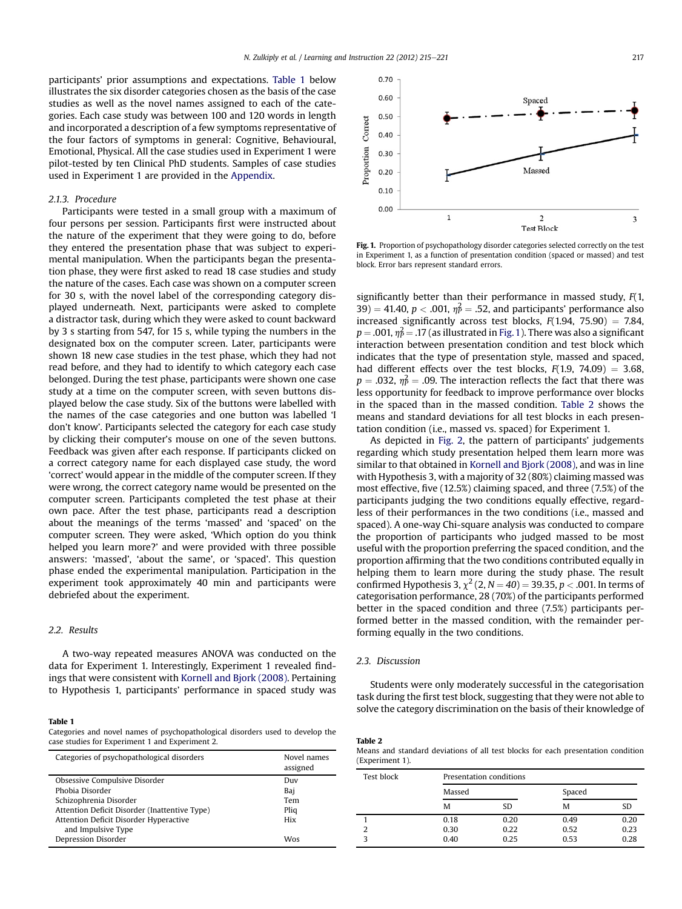<span id="page-2-0"></span>participants' prior assumptions and expectations. Table 1 below illustrates the six disorder categories chosen as the basis of the case studies as well as the novel names assigned to each of the categories. Each case study was between 100 and 120 words in length and incorporated a description of a few symptoms representative of the four factors of symptoms in general: Cognitive, Behavioural, Emotional, Physical. All the case studies used in Experiment 1 were pilot-tested by ten Clinical PhD students. Samples of case studies used in Experiment 1 are provided in the [Appendix](#page-5-0).

#### 2.1.3. Procedure

Participants were tested in a small group with a maximum of four persons per session. Participants first were instructed about the nature of the experiment that they were going to do, before they entered the presentation phase that was subject to experimental manipulation. When the participants began the presentation phase, they were first asked to read 18 case studies and study the nature of the cases. Each case was shown on a computer screen for 30 s, with the novel label of the corresponding category displayed underneath. Next, participants were asked to complete a distractor task, during which they were asked to count backward by 3 s starting from 547, for 15 s, while typing the numbers in the designated box on the computer screen. Later, participants were shown 18 new case studies in the test phase, which they had not read before, and they had to identify to which category each case belonged. During the test phase, participants were shown one case study at a time on the computer screen, with seven buttons displayed below the case study. Six of the buttons were labelled with the names of the case categories and one button was labelled 'I don't know'. Participants selected the category for each case study by clicking their computer's mouse on one of the seven buttons. Feedback was given after each response. If participants clicked on a correct category name for each displayed case study, the word 'correct' would appear in the middle of the computer screen. If they were wrong, the correct category name would be presented on the computer screen. Participants completed the test phase at their own pace. After the test phase, participants read a description about the meanings of the terms 'massed' and 'spaced' on the computer screen. They were asked, 'Which option do you think helped you learn more?' and were provided with three possible answers: 'massed', 'about the same', or 'spaced'. This question phase ended the experimental manipulation. Participation in the experiment took approximately 40 min and participants were debriefed about the experiment.

#### 2.2. Results

A two-way repeated measures ANOVA was conducted on the data for Experiment 1. Interestingly, Experiment 1 revealed findings that were consistent with [Kornell and Bjork \(2008\).](#page-6-0) Pertaining to Hypothesis 1, participants' performance in spaced study was

#### Table 1

Categories and novel names of psychopathological disorders used to develop the case studies for Experiment 1 and Experiment 2.

| Categories of psychopathological disorders    | Novel names<br>assigned |
|-----------------------------------------------|-------------------------|
| Obsessive Compulsive Disorder                 | Duv                     |
| Phobia Disorder                               | Bai                     |
| Schizophrenia Disorder                        | Tem                     |
| Attention Deficit Disorder (Inattentive Type) | Plig                    |
| Attention Deficit Disorder Hyperactive        | Hix                     |
| and Impulsive Type                            |                         |
| Depression Disorder                           | Wos                     |



Fig. 1. Proportion of psychopathology disorder categories selected correctly on the test in Experiment 1, as a function of presentation condition (spaced or massed) and test block. Error bars represent standard errors.

significantly better than their performance in massed study,  $F(1, 1)$  $39$ ) = 41.40,  $p < .001$ ,  $\eta_P^2 = .52$ , and participants' performance also increased significantly across test blocks,  $F(1.94, 75.90) = 7.84$ ,  $p = .001$ ,  $\eta_P^2 = .17$  (as illustrated in Fig. 1). There was also a significant interaction between presentation condition and test block which indicates that the type of presentation style, massed and spaced, had different effects over the test blocks,  $F(1.9, 74.09) = 3.68$ ,  $p = .032$ ,  $\eta_P^2 = .09$ . The interaction reflects the fact that there was less opportunity for feedback to improve performance over blocks in the spaced than in the massed condition. Table 2 shows the means and standard deviations for all test blocks in each presentation condition (i.e., massed vs. spaced) for Experiment 1.

As depicted in [Fig. 2](#page-3-0), the pattern of participants' judgements regarding which study presentation helped them learn more was similar to that obtained in [Kornell and Bjork \(2008\),](#page-6-0) and was in line with Hypothesis 3, with a majority of 32 (80%) claiming massed was most effective, five (12.5%) claiming spaced, and three (7.5%) of the participants judging the two conditions equally effective, regardless of their performances in the two conditions (i.e., massed and spaced). A one-way Chi-square analysis was conducted to compare the proportion of participants who judged massed to be most useful with the proportion preferring the spaced condition, and the proportion affirming that the two conditions contributed equally in helping them to learn more during the study phase. The result confirmed Hypothesis 3,  $\chi^2$  (2, N = 40) = 39.35, p < .001. In terms of categorisation performance, 28 (70%) of the participants performed better in the spaced condition and three (7.5%) participants performed better in the massed condition, with the remainder performing equally in the two conditions.

#### 2.3. Discussion

Students were only moderately successful in the categorisation task during the first test block, suggesting that they were not able to solve the category discrimination on the basis of their knowledge of

#### Table 2

Means and standard deviations of all test blocks for each presentation condition (Experiment 1).

| Test block |        | Presentation conditions |        |      |
|------------|--------|-------------------------|--------|------|
|            | Massed |                         | Spaced |      |
|            | м      | SD                      | м      | SD   |
|            | 0.18   | 0.20                    | 0.49   | 0.20 |
|            | 0.30   | 0.22                    | 0.52   | 0.23 |
|            | 0.40   | 0.25                    | 0.53   | 0.28 |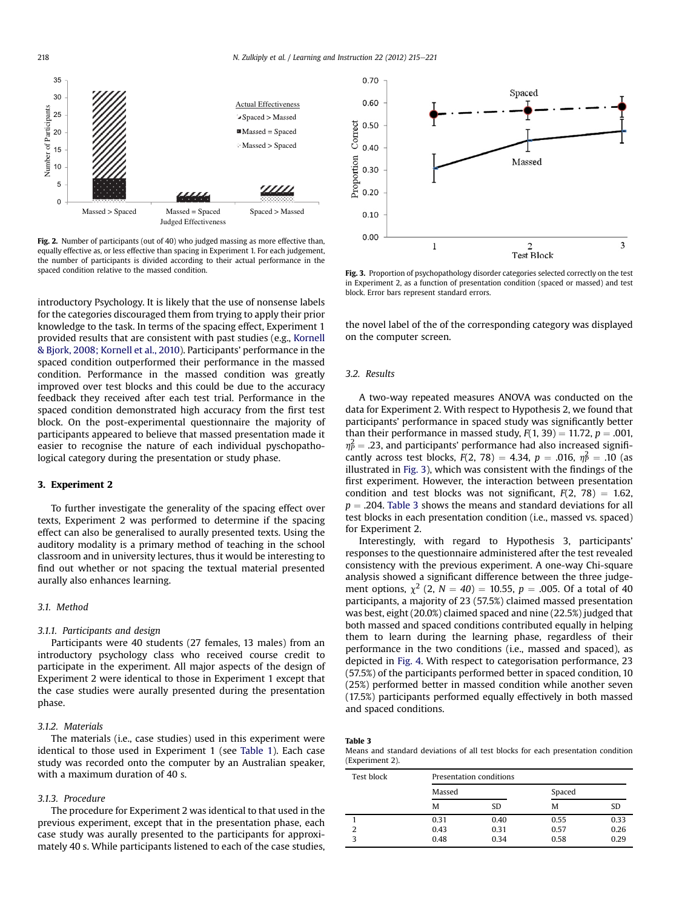<span id="page-3-0"></span>

Fig. 2. Number of participants (out of 40) who judged massing as more effective than, equally effective as, or less effective than spacing in Experiment 1. For each judgement, the number of participants is divided according to their actual performance in the spaced condition relative to the massed condition. Fig. 3. Proportion of psychopathology disorder categories selected correctly on the test

introductory Psychology. It is likely that the use of nonsense labels for the categories discouraged them from trying to apply their prior knowledge to the task. In terms of the spacing effect, Experiment 1 provided results that are consistent with past studies (e.g., [Kornell](#page-6-0) [& Bjork, 2008; Kornell et al., 2010\)](#page-6-0). Participants' performance in the spaced condition outperformed their performance in the massed condition. Performance in the massed condition was greatly improved over test blocks and this could be due to the accuracy feedback they received after each test trial. Performance in the spaced condition demonstrated high accuracy from the first test block. On the post-experimental questionnaire the majority of participants appeared to believe that massed presentation made it easier to recognise the nature of each individual pyschopathological category during the presentation or study phase.

## 3. Experiment 2

To further investigate the generality of the spacing effect over texts, Experiment 2 was performed to determine if the spacing effect can also be generalised to aurally presented texts. Using the auditory modality is a primary method of teaching in the school classroom and in university lectures, thus it would be interesting to find out whether or not spacing the textual material presented aurally also enhances learning.

## 3.1. Method

## 3.1.1. Participants and design

Participants were 40 students (27 females, 13 males) from an introductory psychology class who received course credit to participate in the experiment. All major aspects of the design of Experiment 2 were identical to those in Experiment 1 except that the case studies were aurally presented during the presentation phase.

#### 3.1.2. Materials

The materials (i.e., case studies) used in this experiment were identical to those used in Experiment 1 (see [Table 1](#page-2-0)). Each case study was recorded onto the computer by an Australian speaker, with a maximum duration of 40 s.

## 3.1.3. Procedure

The procedure for Experiment 2 was identical to that used in the previous experiment, except that in the presentation phase, each case study was aurally presented to the participants for approximately 40 s. While participants listened to each of the case studies,



in Experiment 2, as a function of presentation condition (spaced or massed) and test block. Error bars represent standard errors.

the novel label of the of the corresponding category was displayed on the computer screen.

#### 3.2. Results

A two-way repeated measures ANOVA was conducted on the data for Experiment 2. With respect to Hypothesis 2, we found that participants' performance in spaced study was significantly better than their performance in massed study,  $F(1, 39) = 11.72$ ,  $p = .001$ ,  $\eta_P^2$  = .23, and participants' performance had also increased significantly across test blocks,  $F(2, 78) = 4.34$ ,  $p = .016$ ,  $\eta_P^2 = .10$  (as illustrated in Fig. 3), which was consistent with the findings of the first experiment. However, the interaction between presentation condition and test blocks was not significant,  $F(2, 78) = 1.62$ ,  $p = .204$ . Table 3 shows the means and standard deviations for all test blocks in each presentation condition (i.e., massed vs. spaced) for Experiment 2.

Interestingly, with regard to Hypothesis 3, participants' responses to the questionnaire administered after the test revealed consistency with the previous experiment. A one-way Chi-square analysis showed a significant difference between the three judgement options,  $\chi^2$  (2, N = 40) = 10.55, p = .005. Of a total of 40 participants, a majority of 23 (57.5%) claimed massed presentation was best, eight (20.0%) claimed spaced and nine (22.5%) judged that both massed and spaced conditions contributed equally in helping them to learn during the learning phase, regardless of their performance in the two conditions (i.e., massed and spaced), as depicted in [Fig. 4.](#page-4-0) With respect to categorisation performance, 23 (57.5%) of the participants performed better in spaced condition, 10 (25%) performed better in massed condition while another seven (17.5%) participants performed equally effectively in both massed and spaced conditions.

#### Table 3

Means and standard deviations of all test blocks for each presentation condition (Experiment 2).

| Test block |        | Presentation conditions |        |      |
|------------|--------|-------------------------|--------|------|
|            | Massed |                         | Spaced |      |
|            | м      | SD                      | м      | SD.  |
|            | 0.31   | 0.40                    | 0.55   | 0.33 |
|            | 0.43   | 0.31                    | 0.57   | 0.26 |
| 2          | 0.48   | 0.34                    | 0.58   | 0.29 |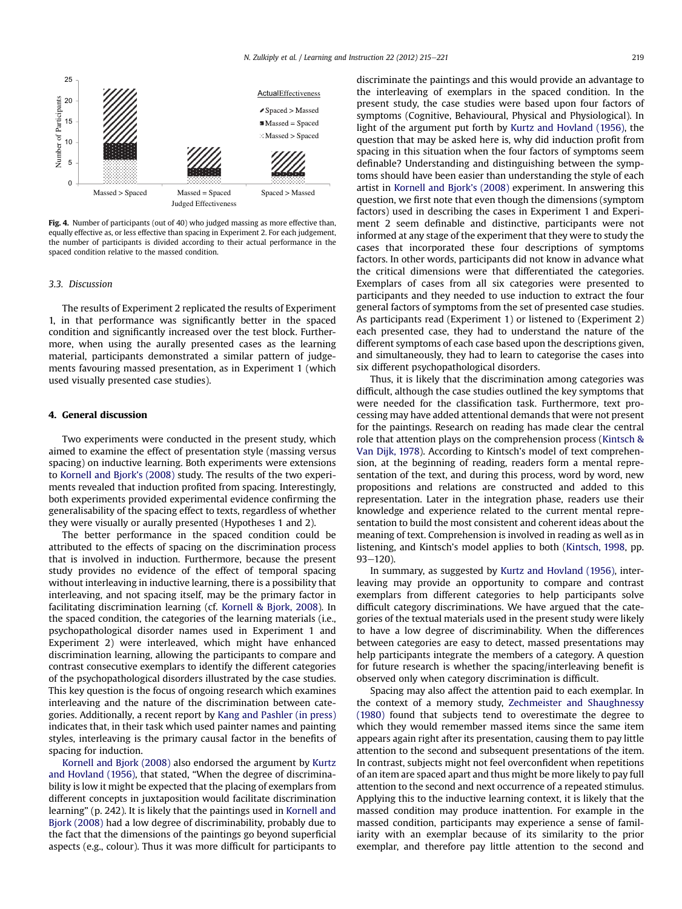<span id="page-4-0"></span>

Fig. 4. Number of participants (out of 40) who judged massing as more effective than, equally effective as, or less effective than spacing in Experiment 2. For each judgement, the number of participants is divided according to their actual performance in the spaced condition relative to the massed condition.

#### 3.3. Discussion

The results of Experiment 2 replicated the results of Experiment 1, in that performance was significantly better in the spaced condition and significantly increased over the test block. Furthermore, when using the aurally presented cases as the learning material, participants demonstrated a similar pattern of judgements favouring massed presentation, as in Experiment 1 (which used visually presented case studies).

## 4. General discussion

Two experiments were conducted in the present study, which aimed to examine the effect of presentation style (massing versus spacing) on inductive learning. Both experiments were extensions to [Kornell and Bjork](#page-6-0)'s (2008) study. The results of the two experiments revealed that induction profited from spacing. Interestingly, both experiments provided experimental evidence confirming the generalisability of the spacing effect to texts, regardless of whether they were visually or aurally presented (Hypotheses 1 and 2).

The better performance in the spaced condition could be attributed to the effects of spacing on the discrimination process that is involved in induction. Furthermore, because the present study provides no evidence of the effect of temporal spacing without interleaving in inductive learning, there is a possibility that interleaving, and not spacing itself, may be the primary factor in facilitating discrimination learning (cf. [Kornell & Bjork, 2008\)](#page-6-0). In the spaced condition, the categories of the learning materials (i.e., psychopathological disorder names used in Experiment 1 and Experiment 2) were interleaved, which might have enhanced discrimination learning, allowing the participants to compare and contrast consecutive exemplars to identify the different categories of the psychopathological disorders illustrated by the case studies. This key question is the focus of ongoing research which examines interleaving and the nature of the discrimination between categories. Additionally, a recent report by [Kang and Pashler \(in press\)](#page-6-0) indicates that, in their task which used painter names and painting styles, interleaving is the primary causal factor in the benefits of spacing for induction.

[Kornell and Bjork \(2008\)](#page-6-0) also endorsed the argument by [Kurtz](#page-6-0) [and Hovland \(1956\)](#page-6-0), that stated, "When the degree of discriminability is low it might be expected that the placing of exemplars from different concepts in juxtaposition would facilitate discrimination learning" (p. 242). It is likely that the paintings used in [Kornell and](#page-6-0) [Bjork \(2008\)](#page-6-0) had a low degree of discriminability, probably due to the fact that the dimensions of the paintings go beyond superficial aspects (e.g., colour). Thus it was more difficult for participants to discriminate the paintings and this would provide an advantage to the interleaving of exemplars in the spaced condition. In the present study, the case studies were based upon four factors of symptoms (Cognitive, Behavioural, Physical and Physiological). In light of the argument put forth by [Kurtz and Hovland \(1956\)](#page-6-0), the question that may be asked here is, why did induction profit from spacing in this situation when the four factors of symptoms seem definable? Understanding and distinguishing between the symptoms should have been easier than understanding the style of each artist in [Kornell and Bjork](#page-6-0)'s (2008) experiment. In answering this question, we first note that even though the dimensions (symptom factors) used in describing the cases in Experiment 1 and Experiment 2 seem definable and distinctive, participants were not informed at any stage of the experiment that they were to study the cases that incorporated these four descriptions of symptoms factors. In other words, participants did not know in advance what the critical dimensions were that differentiated the categories. Exemplars of cases from all six categories were presented to participants and they needed to use induction to extract the four general factors of symptoms from the set of presented case studies. As participants read (Experiment 1) or listened to (Experiment 2) each presented case, they had to understand the nature of the different symptoms of each case based upon the descriptions given, and simultaneously, they had to learn to categorise the cases into six different psychopathological disorders.

Thus, it is likely that the discrimination among categories was difficult, although the case studies outlined the key symptoms that were needed for the classification task. Furthermore, text processing may have added attentional demands that were not present for the paintings. Research on reading has made clear the central role that attention plays on the comprehension process [\(Kintsch &](#page-6-0) [Van Dijk, 1978\)](#page-6-0). According to Kintsch's model of text comprehension, at the beginning of reading, readers form a mental representation of the text, and during this process, word by word, new propositions and relations are constructed and added to this representation. Later in the integration phase, readers use their knowledge and experience related to the current mental representation to build the most consistent and coherent ideas about the meaning of text. Comprehension is involved in reading as well as in listening, and Kintsch's model applies to both ([Kintsch, 1998,](#page-6-0) pp.  $93 - 120$ ).

In summary, as suggested by [Kurtz and Hovland \(1956\),](#page-6-0) interleaving may provide an opportunity to compare and contrast exemplars from different categories to help participants solve difficult category discriminations. We have argued that the categories of the textual materials used in the present study were likely to have a low degree of discriminability. When the differences between categories are easy to detect, massed presentations may help participants integrate the members of a category. A question for future research is whether the spacing/interleaving benefit is observed only when category discrimination is difficult.

Spacing may also affect the attention paid to each exemplar. In the context of a memory study, [Zechmeister and Shaughnessy](#page-6-0) [\(1980\)](#page-6-0) found that subjects tend to overestimate the degree to which they would remember massed items since the same item appears again right after its presentation, causing them to pay little attention to the second and subsequent presentations of the item. In contrast, subjects might not feel overconfident when repetitions of an item are spaced apart and thus might be more likely to pay full attention to the second and next occurrence of a repeated stimulus. Applying this to the inductive learning context, it is likely that the massed condition may produce inattention. For example in the massed condition, participants may experience a sense of familiarity with an exemplar because of its similarity to the prior exemplar, and therefore pay little attention to the second and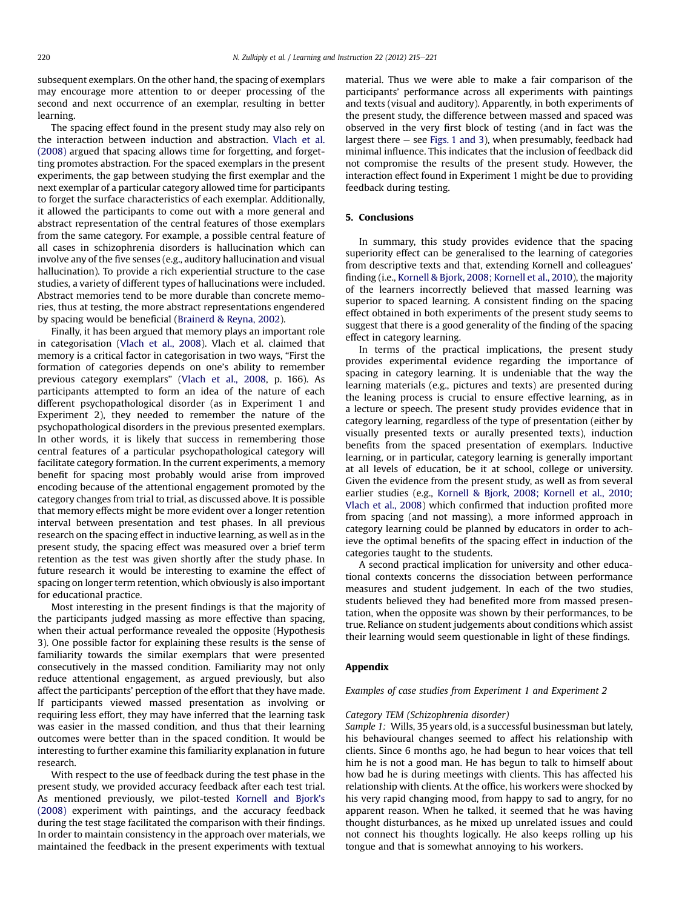<span id="page-5-0"></span>subsequent exemplars. On the other hand, the spacing of exemplars may encourage more attention to or deeper processing of the second and next occurrence of an exemplar, resulting in better learning.

The spacing effect found in the present study may also rely on the interaction between induction and abstraction. [Vlach et al.](#page-6-0) [\(2008\)](#page-6-0) argued that spacing allows time for forgetting, and forgetting promotes abstraction. For the spaced exemplars in the present experiments, the gap between studying the first exemplar and the next exemplar of a particular category allowed time for participants to forget the surface characteristics of each exemplar. Additionally, it allowed the participants to come out with a more general and abstract representation of the central features of those exemplars from the same category. For example, a possible central feature of all cases in schizophrenia disorders is hallucination which can involve any of the five senses (e.g., auditory hallucination and visual hallucination). To provide a rich experiential structure to the case studies, a variety of different types of hallucinations were included. Abstract memories tend to be more durable than concrete memories, thus at testing, the more abstract representations engendered by spacing would be beneficial [\(Brainerd & Reyna, 2002\)](#page-6-0).

Finally, it has been argued that memory plays an important role in categorisation ([Vlach et al., 2008\)](#page-6-0). Vlach et al. claimed that memory is a critical factor in categorisation in two ways, "First the formation of categories depends on one's ability to remember previous category exemplars" ([Vlach et al., 2008](#page-6-0), p. 166). As participants attempted to form an idea of the nature of each different psychopathological disorder (as in Experiment 1 and Experiment 2), they needed to remember the nature of the psychopathological disorders in the previous presented exemplars. In other words, it is likely that success in remembering those central features of a particular psychopathological category will facilitate category formation. In the current experiments, a memory benefit for spacing most probably would arise from improved encoding because of the attentional engagement promoted by the category changes from trial to trial, as discussed above. It is possible that memory effects might be more evident over a longer retention interval between presentation and test phases. In all previous research on the spacing effect in inductive learning, as well as in the present study, the spacing effect was measured over a brief term retention as the test was given shortly after the study phase. In future research it would be interesting to examine the effect of spacing on longer term retention, which obviously is also important for educational practice.

Most interesting in the present findings is that the majority of the participants judged massing as more effective than spacing, when their actual performance revealed the opposite (Hypothesis 3). One possible factor for explaining these results is the sense of familiarity towards the similar exemplars that were presented consecutively in the massed condition. Familiarity may not only reduce attentional engagement, as argued previously, but also affect the participants' perception of the effort that they have made. If participants viewed massed presentation as involving or requiring less effort, they may have inferred that the learning task was easier in the massed condition, and thus that their learning outcomes were better than in the spaced condition. It would be interesting to further examine this familiarity explanation in future research.

With respect to the use of feedback during the test phase in the present study, we provided accuracy feedback after each test trial. As mentioned previously, we pilot-tested [Kornell and Bjork](#page-6-0)'s [\(2008\)](#page-6-0) experiment with paintings, and the accuracy feedback during the test stage facilitated the comparison with their findings. In order to maintain consistency in the approach over materials, we maintained the feedback in the present experiments with textual material. Thus we were able to make a fair comparison of the participants' performance across all experiments with paintings and texts (visual and auditory). Apparently, in both experiments of the present study, the difference between massed and spaced was observed in the very first block of testing (and in fact was the largest there  $-$  see [Figs. 1 and 3\)](#page-3-0), when presumably, feedback had minimal influence. This indicates that the inclusion of feedback did not compromise the results of the present study. However, the interaction effect found in Experiment 1 might be due to providing feedback during testing.

## 5. Conclusions

In summary, this study provides evidence that the spacing superiority effect can be generalised to the learning of categories from descriptive texts and that, extending Kornell and colleagues' finding (i.e., [Kornell & Bjork, 2008; Kornell et al., 2010](#page-6-0)), the majority of the learners incorrectly believed that massed learning was superior to spaced learning. A consistent finding on the spacing effect obtained in both experiments of the present study seems to suggest that there is a good generality of the finding of the spacing effect in category learning.

In terms of the practical implications, the present study provides experimental evidence regarding the importance of spacing in category learning. It is undeniable that the way the learning materials (e.g., pictures and texts) are presented during the leaning process is crucial to ensure effective learning, as in a lecture or speech. The present study provides evidence that in category learning, regardless of the type of presentation (either by visually presented texts or aurally presented texts), induction benefits from the spaced presentation of exemplars. Inductive learning, or in particular, category learning is generally important at all levels of education, be it at school, college or university. Given the evidence from the present study, as well as from several earlier studies (e.g., [Kornell & Bjork, 2008; Kornell et al., 2010;](#page-6-0) [Vlach et al., 2008\)](#page-6-0) which confirmed that induction profited more from spacing (and not massing), a more informed approach in category learning could be planned by educators in order to achieve the optimal benefits of the spacing effect in induction of the categories taught to the students.

A second practical implication for university and other educational contexts concerns the dissociation between performance measures and student judgement. In each of the two studies, students believed they had benefited more from massed presentation, when the opposite was shown by their performances, to be true. Reliance on student judgements about conditions which assist their learning would seem questionable in light of these findings.

## Appendix

Examples of case studies from Experiment 1 and Experiment 2

#### Category TEM (Schizophrenia disorder)

Sample 1: Wills, 35 years old, is a successful businessman but lately, his behavioural changes seemed to affect his relationship with clients. Since 6 months ago, he had begun to hear voices that tell him he is not a good man. He has begun to talk to himself about how bad he is during meetings with clients. This has affected his relationship with clients. At the office, his workers were shocked by his very rapid changing mood, from happy to sad to angry, for no apparent reason. When he talked, it seemed that he was having thought disturbances, as he mixed up unrelated issues and could not connect his thoughts logically. He also keeps rolling up his tongue and that is somewhat annoying to his workers.